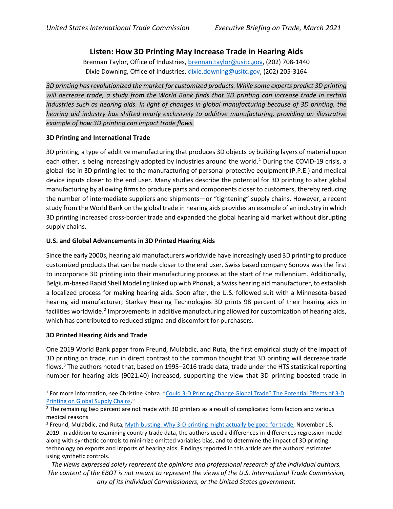# **Listen: How 3D Printing May Increase Trade in Hearing Aids**

Brennan Taylor, Office of Industries, [brennan.taylor@usitc.gov,](mailto:brennan.taylor@usitc.gov) (202) 708-1440 Dixie Downing, Office of Industries, [dixie.downing@usitc.gov,](mailto:dixie.downing@usitc.gov) (202) 205-3164

*3D printing has revolutionized the market for customized products. While some experts predict 3D printing will decrease trade, a study from the World Bank finds that 3D printing can increase trade in certain industries such as hearing aids. In light of changes in global manufacturing because of 3D printing, the hearing aid industry has shifted nearly exclusively to additive manufacturing, providing an illustrative example of how 3D printing can impact trade flows.*

# **3D Printing and International Trade**

3D printing, a type of additive manufacturing that produces 3D objects by building layers of material upon each other, is being increasingly adopted by industries around the world.<sup>[1](#page-0-0)</sup> During the COVID-19 crisis, a global rise in 3D printing led to the manufacturing of personal protective equipment (P.P.E.) and medical device inputs closer to the end user. Many studies describe the potential for 3D printing to alter global manufacturing by allowing firms to produce parts and components closer to customers, thereby reducing the number of intermediate suppliers and shipments—or "tightening" supply chains. However, a recent study from the World Bank on the global trade in hearing aids provides an example of an industry in which 3D printing increased cross-border trade and expanded the global hearing aid market without disrupting supply chains.

# **U.S. and Global Advancements in 3D Printed Hearing Aids**

Since the early 2000s, hearing aid manufacturers worldwide have increasingly used 3D printing to produce customized products that can be made closer to the end user. Swiss based company Sonova was the first to incorporate 3D printing into their manufacturing process at the start of the millennium. Additionally, Belgium-based Rapid Shell Modeling linked up with Phonak, a Swiss hearing aid manufacturer, to establish a localized process for making hearing aids. Soon after, the U.S. followed suit with a Minnesota-based hearing aid manufacturer; Starkey Hearing Technologies 3D prints 98 percent of their hearing aids in facilities worldwide.<sup>[2](#page-0-1)</sup> Improvements in additive manufacturing allowed for customization of hearing aids, which has contributed to reduced stigma and discomfort for purchasers.

### **3D Printed Hearing Aids and Trade**

One 2019 World Bank paper from Freund, Mulabdic, and Ruta, the first empirical study of the impact of 3D printing on trade, run in direct contrast to the common thought that 3D printing will decrease trade flows.[3](#page-0-2) The authors noted that, based on 1995–2016 trade data, trade under the HTS statistical reporting number for hearing aids (9021.40) increased, supporting the view that 3D printing boosted trade in

*The views expressed solely represent the opinions and professional research of the individual authors. The content of the EBOT is not meant to represent the views of the U.S. International Trade Commission, any of its individual Commissioners, or the United States government.*

<span id="page-0-0"></span><sup>&</sup>lt;sup>1</sup> For more information, see Christine Kobza. "Could 3-D Printing Change Global Trade? The Potential Effects of 3-D [Printing on Global Supply Chains.](https://www.usitc.gov/sites/default/files/publications/332/executive_briefings/ebot_3d_printing_manufacturing_supply_chains.pdf)"

<span id="page-0-1"></span><sup>&</sup>lt;sup>2</sup> The remaining two percent are not made with 3D printers as a result of complicated form factors and various medical reasons

<span id="page-0-2"></span><sup>&</sup>lt;sup>3</sup> Freund, Mulabdic, and Ruta, [Myth-busting: Why 3-D printing might actually be good for trade,](http://documents.worldbank.org/curated/en/152701569432061451/pdf/Is-3D-Printing-a-Threat-to-Global-Trade-The-Trade-Effects-You-Didnt-Hear-About.pdf) November 18, 2019. In addition to examining country trade data, the authors used a differences-in-differences regression model along with synthetic controls to minimize omitted variables bias, and to determine the impact of 3D printing technology on exports and imports of hearing aids. Findings reported in this article are the authors' estimates using synthetic controls.